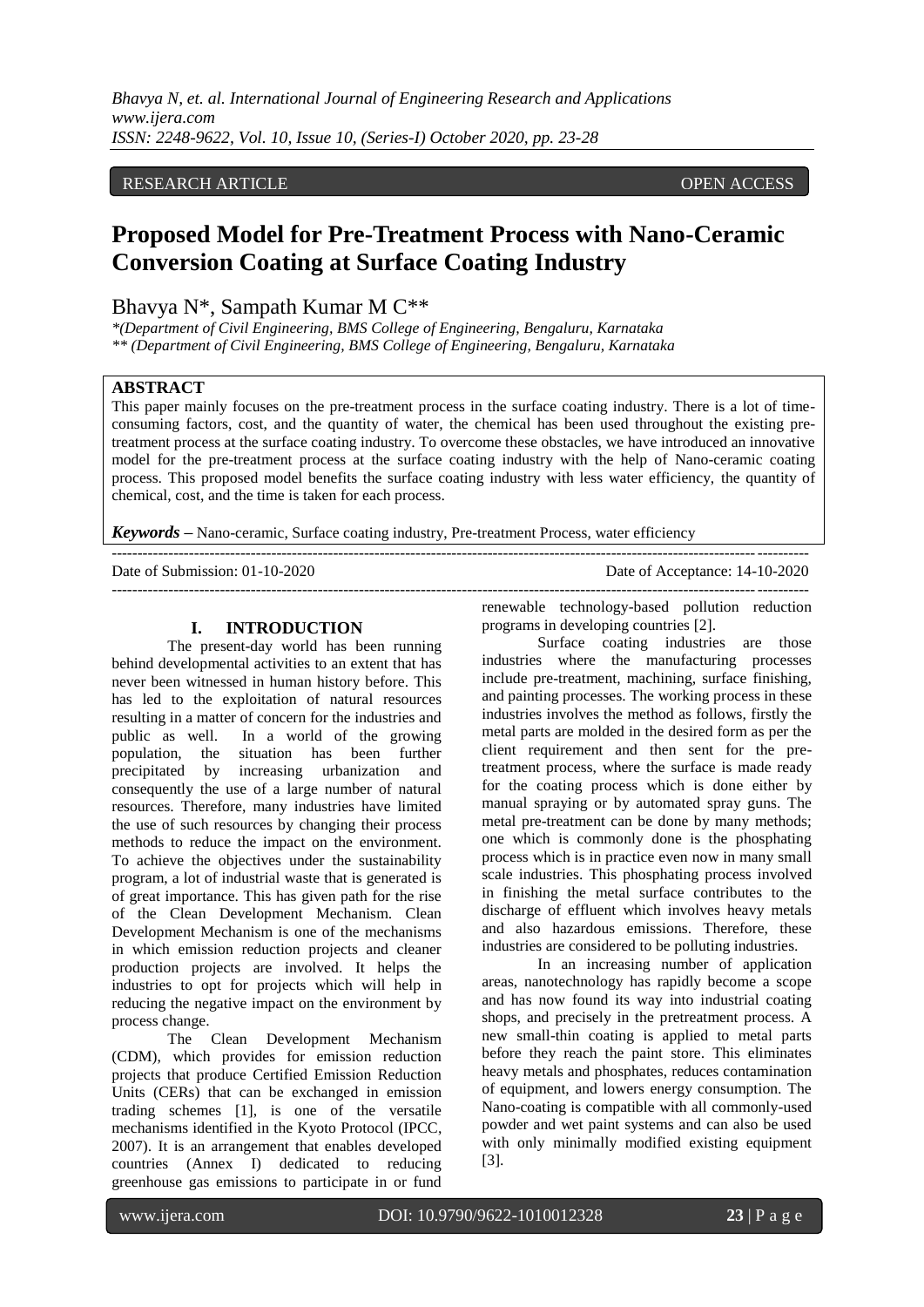*Bhavya N, et. al. International Journal of Engineering Research and Applications www.ijera.com ISSN: 2248-9622, Vol. 10, Issue 10, (Series-I) October 2020, pp. 23-28*

#### RESEARCH ARTICLE **ARTICLE** AND **CONSTRUCTER** OPEN ACCESS OPEN ACCESS OPEN ACCESS OPEN ACCESS OPEN ACCESS OF A STREET AND A STREET AND A STREET AND A STREET AND A STREET AND A STREET AND A STREET AND A STREET AND A STREET A

# **Proposed Model for Pre-Treatment Process with Nano-Ceramic Conversion Coating at Surface Coating Industry**

# Bhavya N\*, Sampath Kumar M C\*\*

*\*(Department of Civil Engineering, BMS College of Engineering, Bengaluru, Karnataka \*\* (Department of Civil Engineering, BMS College of Engineering, Bengaluru, Karnataka*

#### **ABSTRACT**

This paper mainly focuses on the pre-treatment process in the surface coating industry. There is a lot of timeconsuming factors, cost, and the quantity of water, the chemical has been used throughout the existing pretreatment process at the surface coating industry. To overcome these obstacles, we have introduced an innovative model for the pre-treatment process at the surface coating industry with the help of Nano-ceramic coating process. This proposed model benefits the surface coating industry with less water efficiency, the quantity of chemical, cost, and the time is taken for each process.

---------------------------------------------------------------------------------------------------------------------------------------

*Keywords* **–** Nano-ceramic, Surface coating industry, Pre-treatment Process, water efficiency

---------------------------------------------------------------------------------------------------------------------------------------

Date of Submission: 01-10-2020 Date of Acceptance: 14-10-2020

### **I. INTRODUCTION**

The present-day world has been running behind developmental activities to an extent that has never been witnessed in human history before. This has led to the exploitation of natural resources resulting in a matter of concern for the industries and public as well. In a world of the growing population, the situation has been further precipitated by increasing urbanization and consequently the use of a large number of natural resources. Therefore, many industries have limited the use of such resources by changing their process methods to reduce the impact on the environment. To achieve the objectives under the sustainability program, a lot of industrial waste that is generated is of great importance. This has given path for the rise of the Clean Development Mechanism. Clean Development Mechanism is one of the mechanisms in which emission reduction projects and cleaner production projects are involved. It helps the industries to opt for projects which will help in reducing the negative impact on the environment by process change.

The Clean Development Mechanism (CDM), which provides for emission reduction projects that produce Certified Emission Reduction Units (CERs) that can be exchanged in emission trading schemes [1], is one of the versatile mechanisms identified in the Kyoto Protocol (IPCC, 2007). It is an arrangement that enables developed countries (Annex I) dedicated to reducing greenhouse gas emissions to participate in or fund

renewable technology-based pollution reduction programs in developing countries [2].

Surface coating industries are those industries where the manufacturing processes include pre-treatment, machining, surface finishing, and painting processes. The working process in these industries involves the method as follows, firstly the metal parts are molded in the desired form as per the client requirement and then sent for the pretreatment process, where the surface is made ready for the coating process which is done either by manual spraying or by automated spray guns. The metal pre-treatment can be done by many methods; one which is commonly done is the phosphating process which is in practice even now in many small scale industries. This phosphating process involved in finishing the metal surface contributes to the discharge of effluent which involves heavy metals and also hazardous emissions. Therefore, these industries are considered to be polluting industries.

In an increasing number of application areas, nanotechnology has rapidly become a scope and has now found its way into industrial coating shops, and precisely in the pretreatment process. A new small-thin coating is applied to metal parts before they reach the paint store. This eliminates heavy metals and phosphates, reduces contamination of equipment, and lowers energy consumption. The Nano-coating is compatible with all commonly-used powder and wet paint systems and can also be used with only minimally modified existing equipment [3].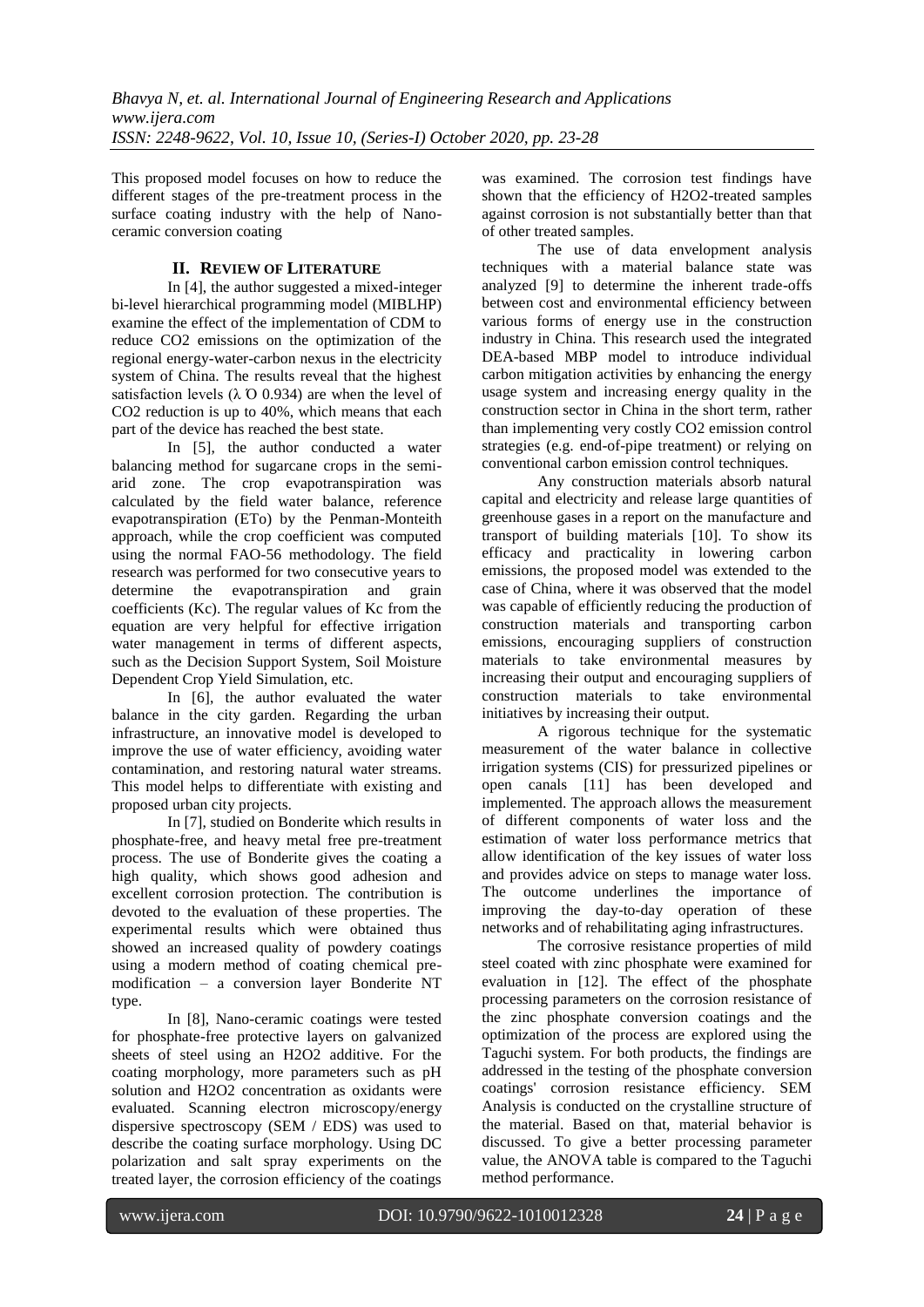This proposed model focuses on how to reduce the different stages of the pre-treatment process in the surface coating industry with the help of Nanoceramic conversion coating

# **II. REVIEW OF LITERATURE**

In [4], the author suggested a mixed-integer bi-level hierarchical programming model (MIBLHP) examine the effect of the implementation of CDM to reduce CO2 emissions on the optimization of the regional energy-water-carbon nexus in the electricity system of China. The results reveal that the highest satisfaction levels  $(\lambda \text{ O } 0.934)$  are when the level of CO2 reduction is up to 40%, which means that each part of the device has reached the best state.

In [5], the author conducted a water balancing method for sugarcane crops in the semiarid zone. The crop evapotranspiration was calculated by the field water balance, reference evapotranspiration (ETo) by the Penman-Monteith approach, while the crop coefficient was computed using the normal FAO-56 methodology. The field research was performed for two consecutive years to determine the evapotranspiration and grain coefficients (Kc). The regular values of Kc from the equation are very helpful for effective irrigation water management in terms of different aspects, such as the Decision Support System, Soil Moisture Dependent Crop Yield Simulation, etc.

In [6], the author evaluated the water balance in the city garden. Regarding the urban infrastructure, an innovative model is developed to improve the use of water efficiency, avoiding water contamination, and restoring natural water streams. This model helps to differentiate with existing and proposed urban city projects.

In [7], studied on Bonderite which results in phosphate-free, and heavy metal free pre-treatment process. The use of Bonderite gives the coating a high quality, which shows good adhesion and excellent corrosion protection. The contribution is devoted to the evaluation of these properties. The experimental results which were obtained thus showed an increased quality of powdery coatings using a modern method of coating chemical premodification – a conversion layer Bonderite NT type.

In [8], Nano-ceramic coatings were tested for phosphate-free protective layers on galvanized sheets of steel using an H2O2 additive. For the coating morphology, more parameters such as pH solution and H2O2 concentration as oxidants were evaluated. Scanning electron microscopy/energy dispersive spectroscopy (SEM / EDS) was used to describe the coating surface morphology. Using DC polarization and salt spray experiments on the treated layer, the corrosion efficiency of the coatings

was examined. The corrosion test findings have shown that the efficiency of H2O2-treated samples against corrosion is not substantially better than that of other treated samples.

The use of data envelopment analysis techniques with a material balance state was analyzed [9] to determine the inherent trade-offs between cost and environmental efficiency between various forms of energy use in the construction industry in China. This research used the integrated DEA-based MBP model to introduce individual carbon mitigation activities by enhancing the energy usage system and increasing energy quality in the construction sector in China in the short term, rather than implementing very costly CO2 emission control strategies (e.g. end-of-pipe treatment) or relying on conventional carbon emission control techniques.

Any construction materials absorb natural capital and electricity and release large quantities of greenhouse gases in a report on the manufacture and transport of building materials [10]. To show its efficacy and practicality in lowering carbon emissions, the proposed model was extended to the case of China, where it was observed that the model was capable of efficiently reducing the production of construction materials and transporting carbon emissions, encouraging suppliers of construction materials to take environmental measures by increasing their output and encouraging suppliers of construction materials to take environmental initiatives by increasing their output.

A rigorous technique for the systematic measurement of the water balance in collective irrigation systems (CIS) for pressurized pipelines or open canals [11] has been developed and implemented. The approach allows the measurement of different components of water loss and the estimation of water loss performance metrics that allow identification of the key issues of water loss and provides advice on steps to manage water loss. The outcome underlines the importance of improving the day-to-day operation of these networks and of rehabilitating aging infrastructures.

The corrosive resistance properties of mild steel coated with zinc phosphate were examined for evaluation in [12]. The effect of the phosphate processing parameters on the corrosion resistance of the zinc phosphate conversion coatings and the optimization of the process are explored using the Taguchi system. For both products, the findings are addressed in the testing of the phosphate conversion coatings' corrosion resistance efficiency. SEM Analysis is conducted on the crystalline structure of the material. Based on that, material behavior is discussed. To give a better processing parameter value, the ANOVA table is compared to the Taguchi method performance.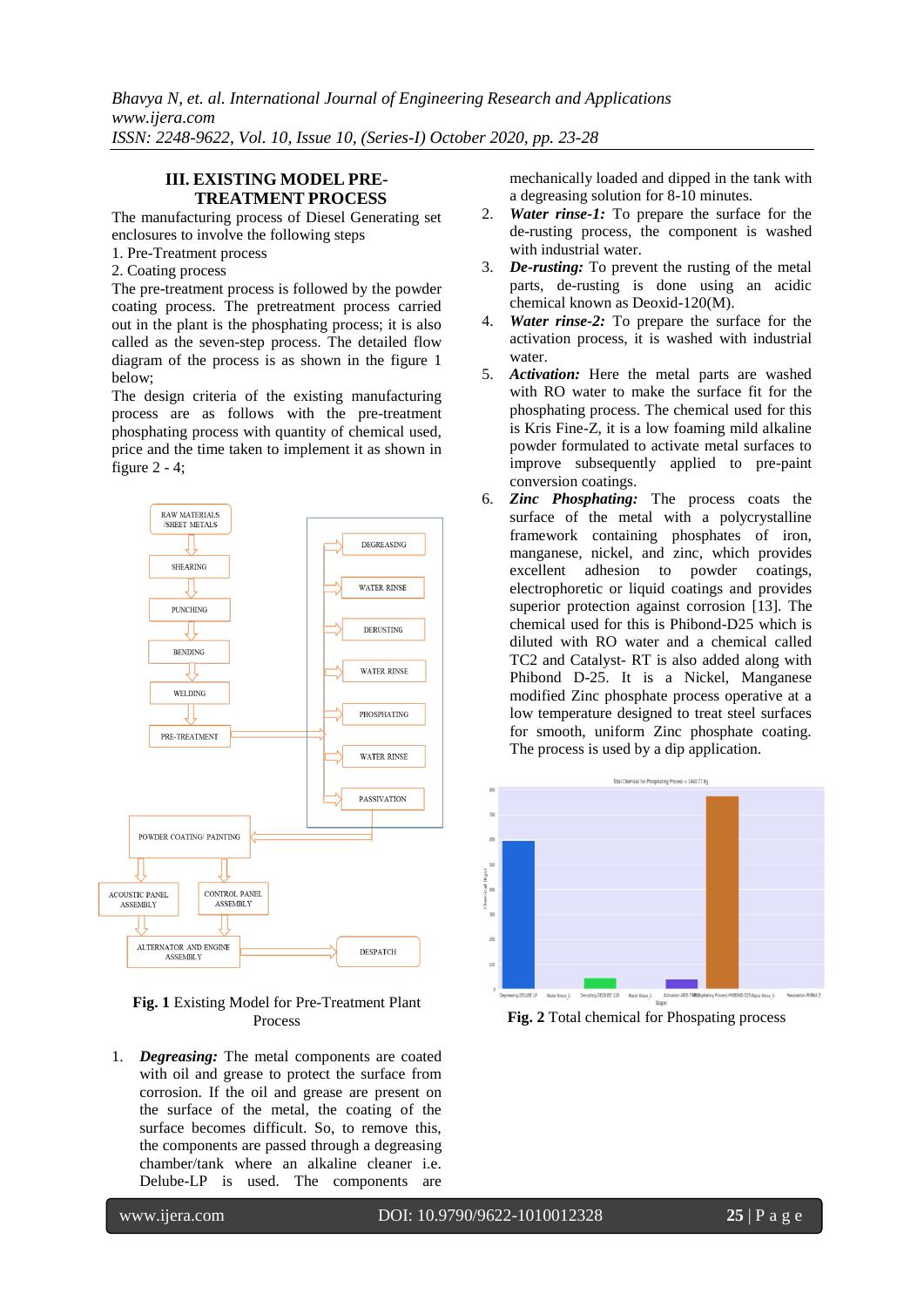*Bhavya N, et. al. International Journal of Engineering Research and Applications www.ijera.com ISSN: 2248-9622, Vol. 10, Issue 10, (Series-I) October 2020, pp. 23-28*

#### **III. EXISTING MODEL PRE-TREATMENT PROCESS**

The manufacturing process of Diesel Generating set enclosures to involve the following steps

- 1. Pre-Treatment process
- 2. Coating process

The pre-treatment process is followed by the powder coating process. The pretreatment process carried out in the plant is the phosphating process; it is also called as the seven-step process. The detailed flow diagram of the process is as shown in the figure 1 below;

The design criteria of the existing manufacturing process are as follows with the pre-treatment phosphating process with quantity of chemical used, price and the time taken to implement it as shown in figure  $2 - 4$ ;



**Fig. 1** Existing Model for Pre-Treatment Plant Process

1. *Degreasing:* The metal components are coated with oil and grease to protect the surface from corrosion. If the oil and grease are present on the surface of the metal, the coating of the surface becomes difficult. So, to remove this, the components are passed through a degreasing chamber/tank where an alkaline cleaner i.e. Delube-LP is used. The components are

mechanically loaded and dipped in the tank with a degreasing solution for 8-10 minutes.

- 2. *Water rinse-1:* To prepare the surface for the de-rusting process, the component is washed with industrial water.
- 3. *De-rusting:* To prevent the rusting of the metal parts, de-rusting is done using an acidic chemical known as Deoxid-120(M).
- 4. *Water rinse-2:* To prepare the surface for the activation process, it is washed with industrial water.
- 5. *Activation:* Here the metal parts are washed with RO water to make the surface fit for the phosphating process. The chemical used for this is Kris Fine-Z, it is a low foaming mild alkaline powder formulated to activate metal surfaces to improve subsequently applied to pre-paint conversion coatings.
- 6. *Zinc Phosphating:* The process coats the surface of the metal with a polycrystalline framework containing phosphates of iron, manganese, nickel, and zinc, which provides excellent adhesion to powder coatings, electrophoretic or liquid coatings and provides superior protection against corrosion [13]. The chemical used for this is Phibond-D25 which is diluted with RO water and a chemical called TC2 and Catalyst- RT is also added along with Phibond D-25. It is a Nickel, Manganese modified Zinc phosphate process operative at a low temperature designed to treat steel surfaces for smooth, uniform Zinc phosphate coating. The process is used by a dip application.



**Fig. 2** Total chemical for Phospating process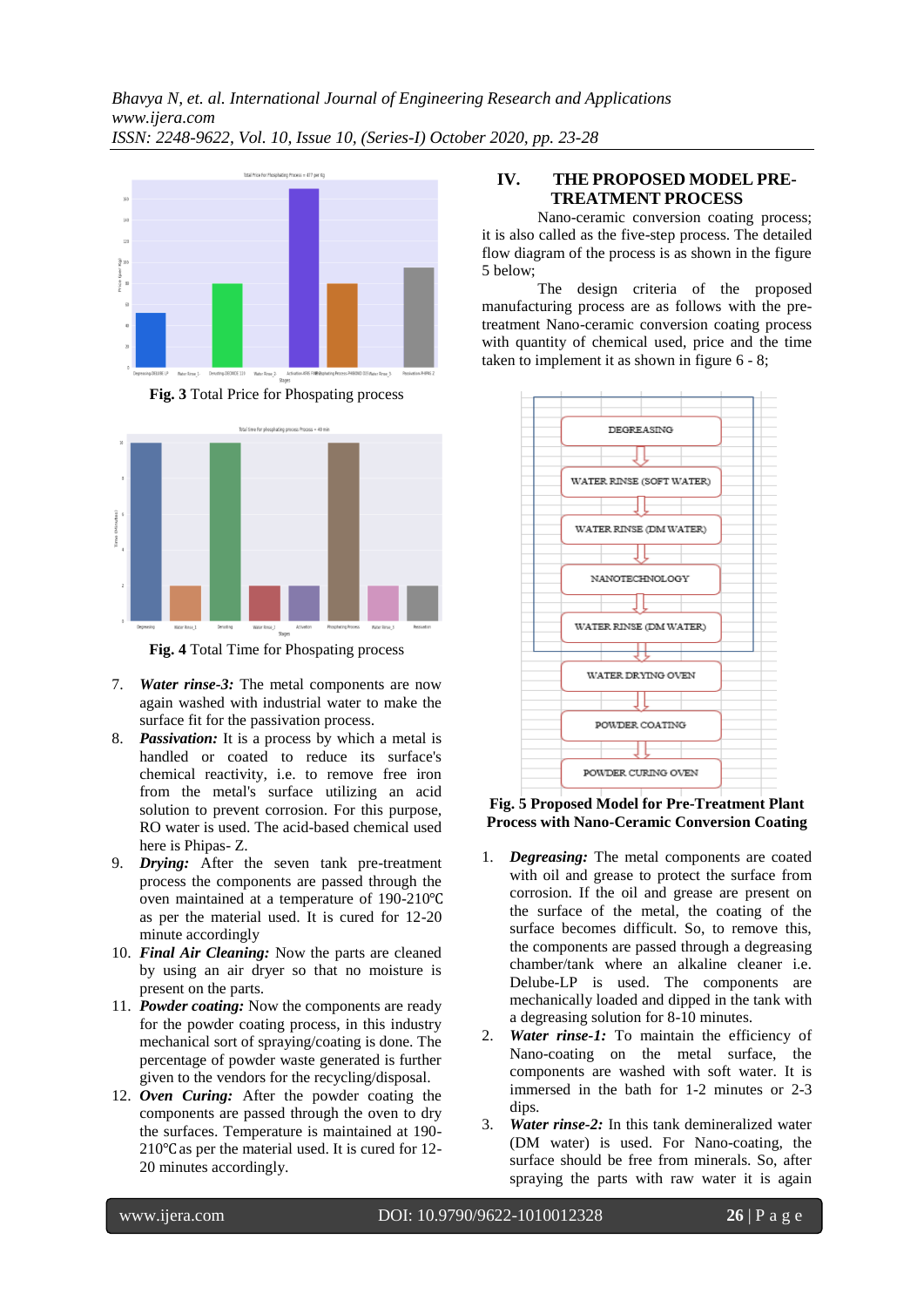

**Fig. 3** Total Price for Phospating process



**Fig. 4** Total Time for Phospating process

- 7. *Water rinse-3:* The metal components are now again washed with industrial water to make the surface fit for the passivation process.
- 8. *Passivation:* It is a process by which a metal is handled or coated to reduce its surface's chemical reactivity, i.e. to remove free iron from the metal's surface utilizing an acid solution to prevent corrosion. For this purpose, RO water is used. The acid-based chemical used here is Phipas- Z.
- 9. *Drying:* After the seven tank pre-treatment process the components are passed through the oven maintained at a temperature of 190-210℃ as per the material used. It is cured for 12-20 minute accordingly
- 10. *Final Air Cleaning:* Now the parts are cleaned by using an air dryer so that no moisture is present on the parts.
- 11. *Powder coating:* Now the components are ready for the powder coating process, in this industry mechanical sort of spraying/coating is done. The percentage of powder waste generated is further given to the vendors for the recycling/disposal.
- 12. *Oven Curing:* After the powder coating the components are passed through the oven to dry the surfaces. Temperature is maintained at 190- 210℃ as per the material used. It is cured for 12- 20 minutes accordingly.

## **IV. THE PROPOSED MODEL PRE-TREATMENT PROCESS**

Nano-ceramic conversion coating process; it is also called as the five-step process. The detailed flow diagram of the process is as shown in the figure 5 below;

The design criteria of the proposed manufacturing process are as follows with the pretreatment Nano-ceramic conversion coating process with quantity of chemical used, price and the time taken to implement it as shown in figure 6 - 8;



#### **Fig. 5 Proposed Model for Pre-Treatment Plant Process with Nano-Ceramic Conversion Coating**

- 1. *Degreasing:* The metal components are coated with oil and grease to protect the surface from corrosion. If the oil and grease are present on the surface of the metal, the coating of the surface becomes difficult. So, to remove this, the components are passed through a degreasing chamber/tank where an alkaline cleaner i.e. Delube-LP is used. The components are mechanically loaded and dipped in the tank with a degreasing solution for 8-10 minutes.
- 2. *Water rinse-1:* To maintain the efficiency of Nano-coating on the metal surface, the components are washed with soft water. It is immersed in the bath for 1-2 minutes or 2-3 dips.
- 3. *Water rinse-2:* In this tank demineralized water (DM water) is used. For Nano-coating, the surface should be free from minerals. So, after spraying the parts with raw water it is again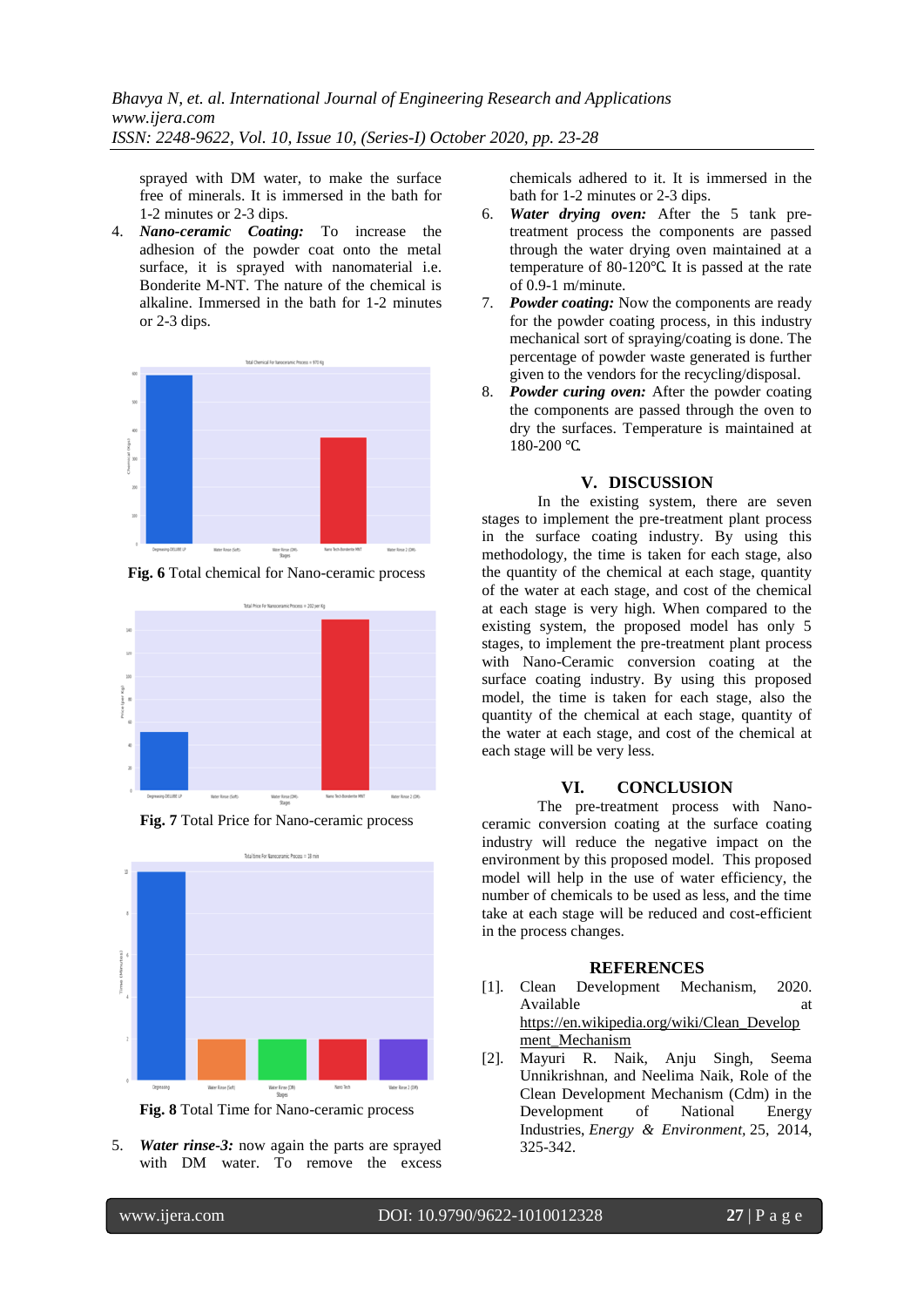sprayed with DM water, to make the surface free of minerals. It is immersed in the bath for 1-2 minutes or 2-3 dips.

4. *Nano-ceramic Coating:* To increase the adhesion of the powder coat onto the metal surface, it is sprayed with nanomaterial i.e. Bonderite M-NT. The nature of the chemical is alkaline. Immersed in the bath for 1-2 minutes or 2-3 dips.



**Fig. 6** Total chemical for Nano-ceramic process



**Fig. 7** Total Price for Nano-ceramic process



**Fig. 8** Total Time for Nano-ceramic process

5. *Water rinse-3:* now again the parts are sprayed with DM water. To remove the excess chemicals adhered to it. It is immersed in the bath for 1-2 minutes or 2-3 dips.

- 6. *Water drying oven:* After the 5 tank pretreatment process the components are passed through the water drying oven maintained at a temperature of 80-120℃. It is passed at the rate of 0.9-1 m/minute.
- 7. *Powder coating:* Now the components are ready for the powder coating process, in this industry mechanical sort of spraying/coating is done. The percentage of powder waste generated is further given to the vendors for the recycling/disposal.
- 8. *Powder curing oven:* After the powder coating the components are passed through the oven to dry the surfaces. Temperature is maintained at 180-200 ℃.

#### **V. DISCUSSION**

In the existing system, there are seven stages to implement the pre-treatment plant process in the surface coating industry. By using this methodology, the time is taken for each stage, also the quantity of the chemical at each stage, quantity of the water at each stage, and cost of the chemical at each stage is very high. When compared to the existing system, the proposed model has only 5 stages, to implement the pre-treatment plant process with Nano-Ceramic conversion coating at the surface coating industry. By using this proposed model, the time is taken for each stage, also the quantity of the chemical at each stage, quantity of the water at each stage, and cost of the chemical at each stage will be very less.

# **VI. CONCLUSION**

The pre-treatment process with Nanoceramic conversion coating at the surface coating industry will reduce the negative impact on the environment by this proposed model. This proposed model will help in the use of water efficiency, the number of chemicals to be used as less, and the time take at each stage will be reduced and cost-efficient in the process changes.

#### **REFERENCES**

- [1]. Clean Development Mechanism, 2020. Available at a state at a state of  $\alpha$  at a state at a state at a state at a state at a state at a state at a state at a state at a state at a state at a state at a state at a state at a state at a state at a state at a s [https://en.wikipedia.org/wiki/Clean\\_Develop](https://en.wikipedia.org/wiki/Clean_Development_Mechanism) ment Mechanism
- [2]. Mayuri R. Naik, Anju Singh, Seema Unnikrishnan, and Neelima Naik, Role of the Clean Development Mechanism (Cdm) in the Development of National Energy Industries, *Energy & Environment,* 25, 2014, 325-342.